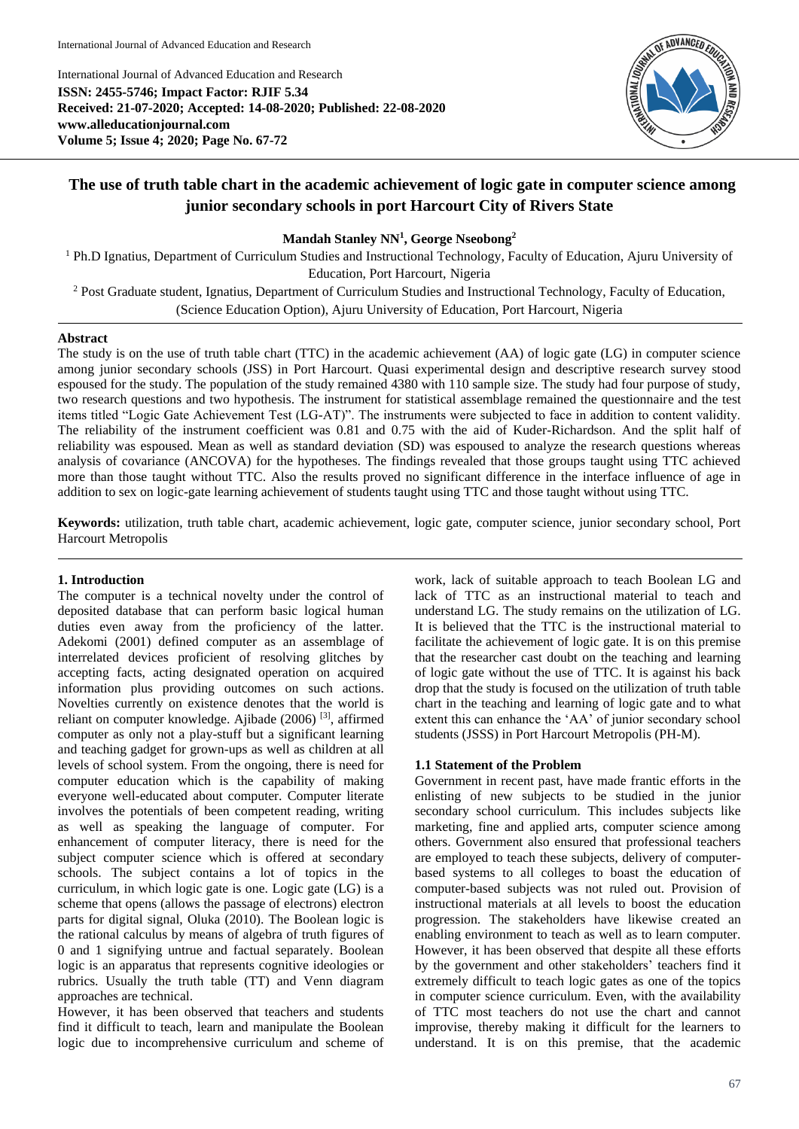International Journal of Advanced Education and Research

International Journal of Advanced Education and Research **ISSN: 2455-5746; Impact Factor: RJIF 5.34 Received: 21-07-2020; Accepted: 14-08-2020; Published: 22-08-2020 www.alleducationjournal.com Volume 5; Issue 4; 2020; Page No. 67-72**



# **The use of truth table chart in the academic achievement of logic gate in computer science among junior secondary schools in port Harcourt City of Rivers State**

**Mandah Stanley NN<sup>1</sup> , George Nseobong<sup>2</sup>**

<sup>1</sup> Ph.D Ignatius, Department of Curriculum Studies and Instructional Technology, Faculty of Education, Ajuru University of Education, Port Harcourt, Nigeria

<sup>2</sup> Post Graduate student, Ignatius, Department of Curriculum Studies and Instructional Technology, Faculty of Education, (Science Education Option), Ajuru University of Education, Port Harcourt, Nigeria

# **Abstract**

The study is on the use of truth table chart (TTC) in the academic achievement (AA) of logic gate (LG) in computer science among junior secondary schools (JSS) in Port Harcourt. Quasi experimental design and descriptive research survey stood espoused for the study. The population of the study remained 4380 with 110 sample size. The study had four purpose of study, two research questions and two hypothesis. The instrument for statistical assemblage remained the questionnaire and the test items titled "Logic Gate Achievement Test (LG-AT)". The instruments were subjected to face in addition to content validity. The reliability of the instrument coefficient was 0.81 and 0.75 with the aid of Kuder-Richardson. And the split half of reliability was espoused. Mean as well as standard deviation (SD) was espoused to analyze the research questions whereas analysis of covariance (ANCOVA) for the hypotheses. The findings revealed that those groups taught using TTC achieved more than those taught without TTC. Also the results proved no significant difference in the interface influence of age in addition to sex on logic-gate learning achievement of students taught using TTC and those taught without using TTC.

**Keywords:** utilization, truth table chart, academic achievement, logic gate, computer science, junior secondary school, Port Harcourt Metropolis

# **1. Introduction**

The computer is a technical novelty under the control of deposited database that can perform basic logical human duties even away from the proficiency of the latter. Adekomi (2001) defined computer as an assemblage of interrelated devices proficient of resolving glitches by accepting facts, acting designated operation on acquired information plus providing outcomes on such actions. Novelties currently on existence denotes that the world is reliant on computer knowledge. Ajibade (2006) [3], affirmed computer as only not a play-stuff but a significant learning and teaching gadget for grown-ups as well as children at all levels of school system. From the ongoing, there is need for computer education which is the capability of making everyone well-educated about computer. Computer literate involves the potentials of been competent reading, writing as well as speaking the language of computer. For enhancement of computer literacy, there is need for the subject computer science which is offered at secondary schools. The subject contains a lot of topics in the curriculum, in which logic gate is one. Logic gate (LG) is a scheme that opens (allows the passage of electrons) electron parts for digital signal, Oluka (2010). The Boolean logic is the rational calculus by means of algebra of truth figures of 0 and 1 signifying untrue and factual separately. Boolean logic is an apparatus that represents cognitive ideologies or rubrics. Usually the truth table (TT) and Venn diagram approaches are technical.

However, it has been observed that teachers and students find it difficult to teach, learn and manipulate the Boolean logic due to incomprehensive curriculum and scheme of

work, lack of suitable approach to teach Boolean LG and lack of TTC as an instructional material to teach and understand LG. The study remains on the utilization of LG. It is believed that the TTC is the instructional material to facilitate the achievement of logic gate. It is on this premise that the researcher cast doubt on the teaching and learning of logic gate without the use of TTC. It is against his back drop that the study is focused on the utilization of truth table chart in the teaching and learning of logic gate and to what extent this can enhance the 'AA' of junior secondary school students (JSSS) in Port Harcourt Metropolis (PH-M).

# **1.1 Statement of the Problem**

Government in recent past, have made frantic efforts in the enlisting of new subjects to be studied in the junior secondary school curriculum. This includes subjects like marketing, fine and applied arts, computer science among others. Government also ensured that professional teachers are employed to teach these subjects, delivery of computerbased systems to all colleges to boast the education of computer-based subjects was not ruled out. Provision of instructional materials at all levels to boost the education progression. The stakeholders have likewise created an enabling environment to teach as well as to learn computer. However, it has been observed that despite all these efforts by the government and other stakeholders' teachers find it extremely difficult to teach logic gates as one of the topics in computer science curriculum. Even, with the availability of TTC most teachers do not use the chart and cannot improvise, thereby making it difficult for the learners to understand. It is on this premise, that the academic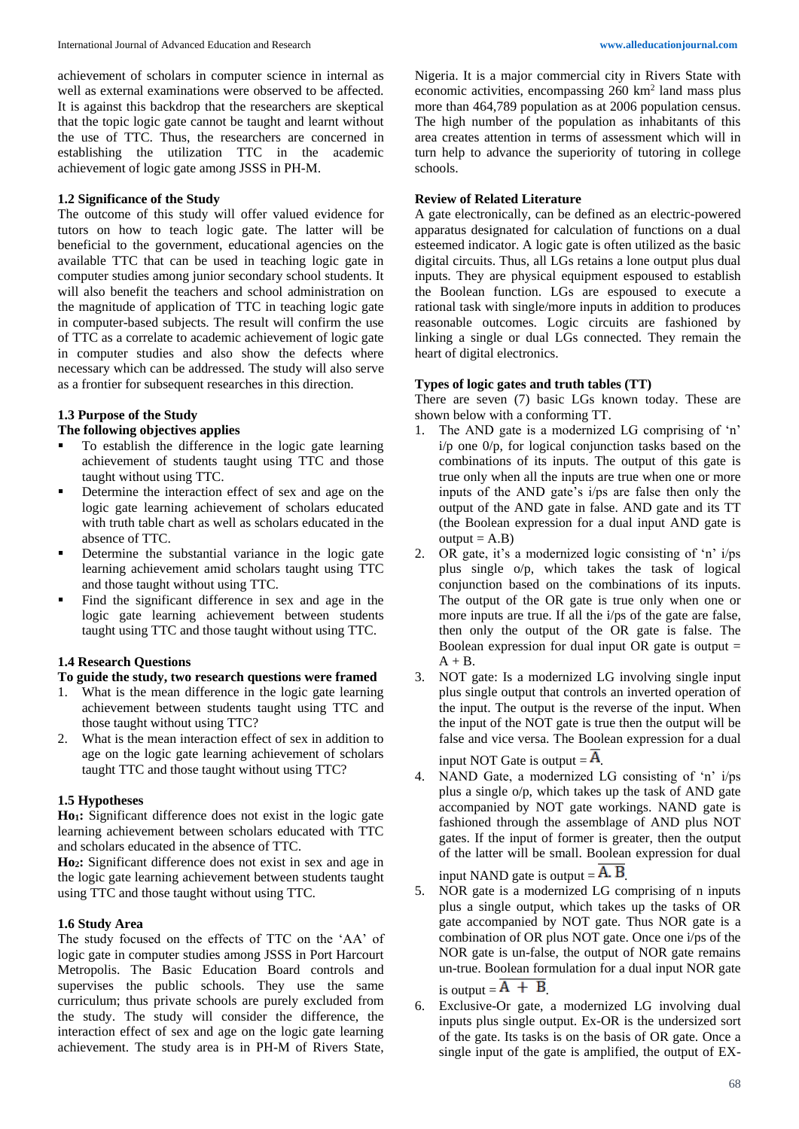achievement of scholars in computer science in internal as well as external examinations were observed to be affected. It is against this backdrop that the researchers are skeptical that the topic logic gate cannot be taught and learnt without the use of TTC. Thus, the researchers are concerned in establishing the utilization TTC in the academic achievement of logic gate among JSSS in PH-M.

# **1.2 Significance of the Study**

The outcome of this study will offer valued evidence for tutors on how to teach logic gate. The latter will be beneficial to the government, educational agencies on the available TTC that can be used in teaching logic gate in computer studies among junior secondary school students. It will also benefit the teachers and school administration on the magnitude of application of TTC in teaching logic gate in computer-based subjects. The result will confirm the use of TTC as a correlate to academic achievement of logic gate in computer studies and also show the defects where necessary which can be addressed. The study will also serve as a frontier for subsequent researches in this direction.

### **1.3 Purpose of the Study**

#### **The following objectives applies**

- To establish the difference in the logic gate learning achievement of students taught using TTC and those taught without using TTC.
- Determine the interaction effect of sex and age on the logic gate learning achievement of scholars educated with truth table chart as well as scholars educated in the absence of TTC.
- Determine the substantial variance in the logic gate learning achievement amid scholars taught using TTC and those taught without using TTC.
- Find the significant difference in sex and age in the logic gate learning achievement between students taught using TTC and those taught without using TTC.

#### **1.4 Research Questions**

#### **To guide the study, two research questions were framed**

- 1. What is the mean difference in the logic gate learning achievement between students taught using TTC and those taught without using TTC?
- 2. What is the mean interaction effect of sex in addition to age on the logic gate learning achievement of scholars taught TTC and those taught without using TTC?

# **1.5 Hypotheses**

**Ho1:** Significant difference does not exist in the logic gate learning achievement between scholars educated with TTC and scholars educated in the absence of TTC.

**Ho2:** Significant difference does not exist in sex and age in the logic gate learning achievement between students taught using TTC and those taught without using TTC.

#### **1.6 Study Area**

The study focused on the effects of TTC on the 'AA' of logic gate in computer studies among JSSS in Port Harcourt Metropolis. The Basic Education Board controls and supervises the public schools. They use the same curriculum; thus private schools are purely excluded from the study. The study will consider the difference, the interaction effect of sex and age on the logic gate learning achievement. The study area is in PH-M of Rivers State,

Nigeria. It is a major commercial city in Rivers State with economic activities, encompassing 260 km<sup>2</sup> land mass plus more than 464,789 population as at 2006 population census. The high number of the population as inhabitants of this area creates attention in terms of assessment which will in turn help to advance the superiority of tutoring in college schools.

# **Review of Related Literature**

A gate electronically, can be defined as an electric-powered apparatus designated for calculation of functions on a dual esteemed indicator. A logic gate is often utilized as the basic digital circuits. Thus, all LGs retains a lone output plus dual inputs. They are physical equipment espoused to establish the Boolean function. LGs are espoused to execute a rational task with single/more inputs in addition to produces reasonable outcomes. Logic circuits are fashioned by linking a single or dual LGs connected. They remain the heart of digital electronics.

### **Types of logic gates and truth tables (TT)**

There are seven (7) basic LGs known today. These are shown below with a conforming TT.

- 1. The AND gate is a modernized LG comprising of 'n' i/p one 0/p, for logical conjunction tasks based on the combinations of its inputs. The output of this gate is true only when all the inputs are true when one or more inputs of the AND gate's i/ps are false then only the output of the AND gate in false. AND gate and its TT (the Boolean expression for a dual input AND gate is  $output = A.B$
- 2. OR gate, it's a modernized logic consisting of 'n' i/ps plus single o/p, which takes the task of logical conjunction based on the combinations of its inputs. The output of the OR gate is true only when one or more inputs are true. If all the i/ps of the gate are false, then only the output of the OR gate is false. The Boolean expression for dual input  $OR$  gate is output  $=$  $A + B$ .
- 3. NOT gate: Is a modernized LG involving single input plus single output that controls an inverted operation of the input. The output is the reverse of the input. When the input of the NOT gate is true then the output will be false and vice versa. The Boolean expression for a dual input NOT Gate is output  $=$   $\mathbf{A}$ .

4. NAND Gate, a modernized LG consisting of 'n' i/ps plus a single o/p, which takes up the task of AND gate accompanied by NOT gate workings. NAND gate is fashioned through the assemblage of AND plus NOT gates. If the input of former is greater, then the output of the latter will be small. Boolean expression for dual input NAND gate is output  $=$  A. B.

5. NOR gate is a modernized LG comprising of n inputs plus a single output, which takes up the tasks of OR gate accompanied by NOT gate. Thus NOR gate is a combination of OR plus NOT gate. Once one i/ps of the NOR gate is un-false, the output of NOR gate remains un-true. Boolean formulation for a dual input NOR gate is output  $=$   $A + B$ .

6. Exclusive-Or gate, a modernized LG involving dual inputs plus single output. Ex-OR is the undersized sort of the gate. Its tasks is on the basis of OR gate. Once a single input of the gate is amplified, the output of EX-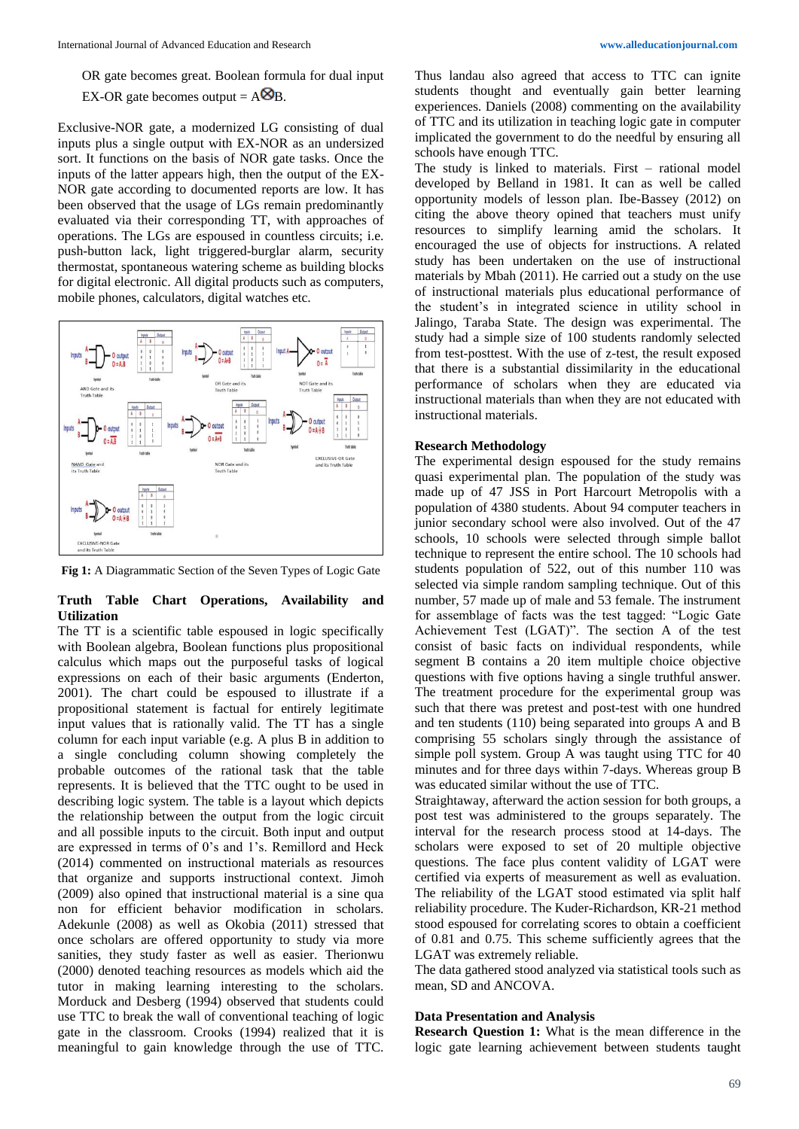Exclusive-NOR gate, a modernized LG consisting of dual inputs plus a single output with EX-NOR as an undersized sort. It functions on the basis of NOR gate tasks. Once the inputs of the latter appears high, then the output of the EX-NOR gate according to documented reports are low. It has been observed that the usage of LGs remain predominantly evaluated via their corresponding TT, with approaches of operations. The LGs are espoused in countless circuits; i.e. push-button lack, light triggered-burglar alarm, security thermostat, spontaneous watering scheme as building blocks for digital electronic. All digital products such as computers, mobile phones, calculators, digital watches etc.



**Fig 1:** A Diagrammatic Section of the Seven Types of Logic Gate

# **Truth Table Chart Operations, Availability and Utilization**

The TT is a scientific table espoused in logic specifically with Boolean algebra, Boolean functions plus propositional calculus which maps out the purposeful tasks of logical expressions on each of their basic arguments (Enderton, 2001). The chart could be espoused to illustrate if a propositional statement is factual for entirely legitimate input values that is rationally valid. The TT has a single column for each input variable (e.g. A plus B in addition to a single concluding column showing completely the probable outcomes of the rational task that the table represents. It is believed that the TTC ought to be used in describing logic system. The table is a layout which depicts the relationship between the output from the logic circuit and all possible inputs to the circuit. Both input and output are expressed in terms of 0's and 1's. Remillord and Heck (2014) commented on instructional materials as resources that organize and supports instructional context. Jimoh (2009) also opined that instructional material is a sine qua non for efficient behavior modification in scholars. Adekunle (2008) as well as Okobia (2011) stressed that once scholars are offered opportunity to study via more sanities, they study faster as well as easier. Therionwu (2000) denoted teaching resources as models which aid the tutor in making learning interesting to the scholars. Morduck and Desberg (1994) observed that students could use TTC to break the wall of conventional teaching of logic gate in the classroom. Crooks (1994) realized that it is meaningful to gain knowledge through the use of TTC.

Thus landau also agreed that access to TTC can ignite students thought and eventually gain better learning experiences. Daniels (2008) commenting on the availability of TTC and its utilization in teaching logic gate in computer implicated the government to do the needful by ensuring all schools have enough TTC.

The study is linked to materials. First – rational model developed by Belland in 1981. It can as well be called opportunity models of lesson plan. Ibe-Bassey (2012) on citing the above theory opined that teachers must unify resources to simplify learning amid the scholars. It encouraged the use of objects for instructions. A related study has been undertaken on the use of instructional materials by Mbah (2011). He carried out a study on the use of instructional materials plus educational performance of the student's in integrated science in utility school in Jalingo, Taraba State. The design was experimental. The study had a simple size of 100 students randomly selected from test-posttest. With the use of z-test, the result exposed that there is a substantial dissimilarity in the educational performance of scholars when they are educated via instructional materials than when they are not educated with instructional materials.

# **Research Methodology**

The experimental design espoused for the study remains quasi experimental plan. The population of the study was made up of 47 JSS in Port Harcourt Metropolis with a population of 4380 students. About 94 computer teachers in junior secondary school were also involved. Out of the 47 schools, 10 schools were selected through simple ballot technique to represent the entire school. The 10 schools had students population of 522, out of this number 110 was selected via simple random sampling technique. Out of this number, 57 made up of male and 53 female. The instrument for assemblage of facts was the test tagged: "Logic Gate Achievement Test (LGAT)". The section A of the test consist of basic facts on individual respondents, while segment B contains a 20 item multiple choice objective questions with five options having a single truthful answer. The treatment procedure for the experimental group was such that there was pretest and post-test with one hundred and ten students (110) being separated into groups A and B comprising 55 scholars singly through the assistance of simple poll system. Group A was taught using TTC for 40 minutes and for three days within 7-days. Whereas group B was educated similar without the use of TTC.

Straightaway, afterward the action session for both groups, a post test was administered to the groups separately. The interval for the research process stood at 14-days. The scholars were exposed to set of 20 multiple objective questions. The face plus content validity of LGAT were certified via experts of measurement as well as evaluation. The reliability of the LGAT stood estimated via split half reliability procedure. The Kuder-Richardson, KR-21 method stood espoused for correlating scores to obtain a coefficient of 0.81 and 0.75. This scheme sufficiently agrees that the LGAT was extremely reliable.

The data gathered stood analyzed via statistical tools such as mean, SD and ANCOVA.

# **Data Presentation and Analysis**

**Research Question 1:** What is the mean difference in the logic gate learning achievement between students taught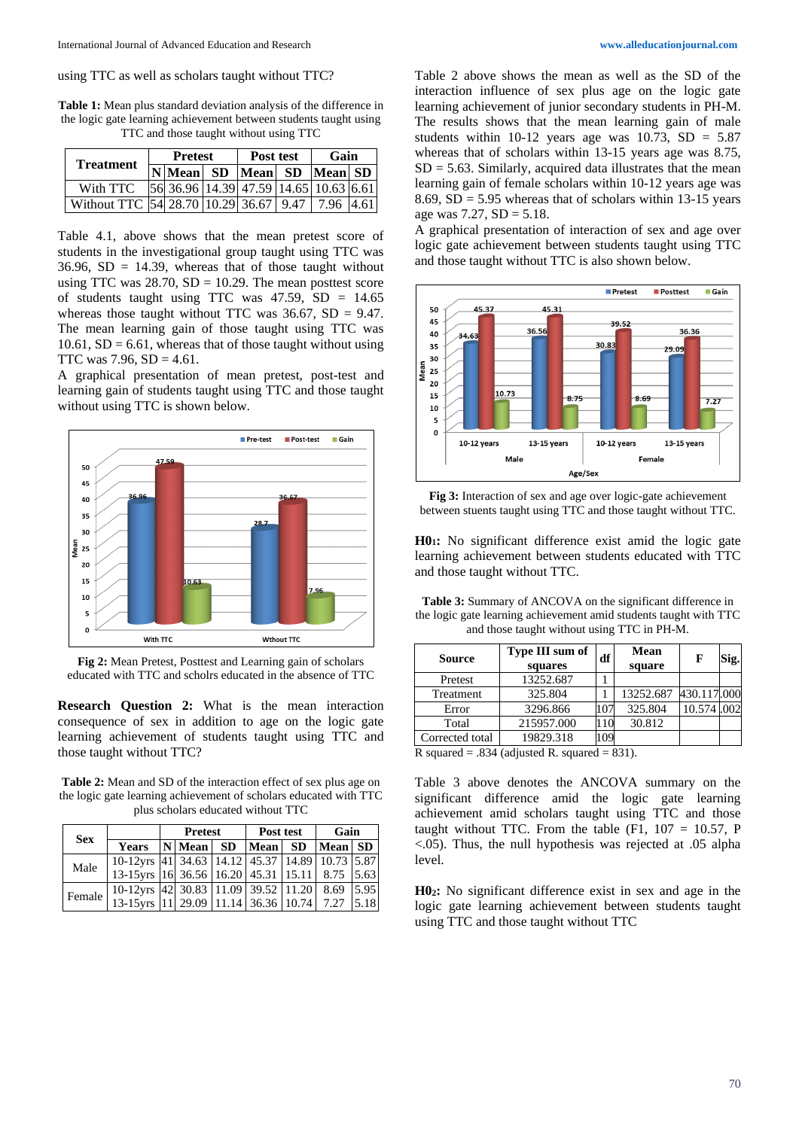using TTC as well as scholars taught without TTC?

**Table 1:** Mean plus standard deviation analysis of the difference in the logic gate learning achievement between students taught using TTC and those taught without using TTC

| Treatment                             | <b>Pretest</b> |                                                                                                     |  | Post test | Gain |      |  |
|---------------------------------------|----------------|-----------------------------------------------------------------------------------------------------|--|-----------|------|------|--|
|                                       |                | N Mean  SD  Mean  SD  Mean  SD                                                                      |  |           |      |      |  |
| With TTC                              |                | $\left  56 \right  36.96 \left  14.39 \right  47.59 \left  14.65 \right  10.63 \left  6.61 \right $ |  |           |      |      |  |
| Without TTC 54 28.70 10.29 36.67 9.47 |                |                                                                                                     |  |           | 7.96 | 4.61 |  |

Table 4.1, above shows that the mean pretest score of students in the investigational group taught using TTC was 36.96,  $SD = 14.39$ , whereas that of those taught without using TTC was  $28.70$ , SD = 10.29. The mean posttest score of students taught using TTC was  $47.59$ , SD =  $14.65$ whereas those taught without TTC was  $36.67$ , SD = 9.47. The mean learning gain of those taught using TTC was  $10.61$ ,  $SD = 6.61$ , whereas that of those taught without using TTC was  $7.96$ ,  $SD = 4.61$ .

A graphical presentation of mean pretest, post-test and learning gain of students taught using TTC and those taught without using TTC is shown below.



**Fig 2:** Mean Pretest, Posttest and Learning gain of scholars educated with TTC and scholrs educated in the absence of TTC

**Research Question 2:** What is the mean interaction consequence of sex in addition to age on the logic gate learning achievement of students taught using TTC and those taught without TTC?

**Table 2:** Mean and SD of the interaction effect of sex plus age on the logic gate learning achievement of scholars educated with TTC plus scholars educated without TTC

| <b>Sex</b> |                                                       | <b>Pretest</b> |  |  | Post test | Gain |      |
|------------|-------------------------------------------------------|----------------|--|--|-----------|------|------|
|            | Years  N Mean  SD  Mean  SD  Mean  SD                 |                |  |  |           |      |      |
| Male       | 10-12yrs 41 34.63 14.12 45.37 14.89 10.73 5.87        |                |  |  |           |      |      |
|            | 13-15 yrs 16 36.56 16.20 45.31 15.11 8.75 5.63        |                |  |  |           |      |      |
| Female     | 10-12yrs 42 30.83 11.09 39.52 11.20 8.69 5.95         |                |  |  |           |      |      |
|            | 13-15 yrs   11   29.09   11.14   36.36   10.74   7.27 |                |  |  |           |      | 5.18 |

Table 2 above shows the mean as well as the SD of the interaction influence of sex plus age on the logic gate learning achievement of junior secondary students in PH-M. The results shows that the mean learning gain of male students within 10-12 years age was 10.73,  $SD = 5.87$ whereas that of scholars within 13-15 years age was 8.75,  $SD = 5.63$ . Similarly, acquired data illustrates that the mean learning gain of female scholars within 10-12 years age was 8.69,  $SD = 5.95$  whereas that of scholars within 13-15 years age was  $7.27$ ,  $SD = 5.18$ .

A graphical presentation of interaction of sex and age over logic gate achievement between students taught using TTC and those taught without TTC is also shown below.



**Fig 3:** Interaction of sex and age over logic-gate achievement between stuents taught using TTC and those taught without TTC.

**H01:** No significant difference exist amid the logic gate learning achievement between students educated with TTC and those taught without TTC.

**Table 3:** Summary of ANCOVA on the significant difference in

| the logic gate learning achievement amid students taught with TTC<br>and those taught without using TTC in PH-M. |                            |    |                       |             |       |  |  |
|------------------------------------------------------------------------------------------------------------------|----------------------------|----|-----------------------|-------------|-------|--|--|
| <b>Source</b>                                                                                                    | Type III sum of<br>squares | df | Mean<br>square        | $\mathbf F$ | iig.l |  |  |
| Pretest                                                                                                          | 13252.687                  |    |                       |             |       |  |  |
| Treatment                                                                                                        | 325.804                    |    | 13252.687 430.117.000 |             |       |  |  |

Error 3296.866 107 325.804 10.574 .002

Corrected total 19829.318 109

Total 215957.000 110 30.812

R squared =  $.834$  (adjusted R. squared = 831).

Table 3 above denotes the ANCOVA summary on the significant difference amid the logic gate learning achievement amid scholars taught using TTC and those taught without TTC. From the table  $(F1, 107 = 10.57, P$ <.05). Thus, the null hypothesis was rejected at .05 alpha level.

**H02:** No significant difference exist in sex and age in the logic gate learning achievement between students taught using TTC and those taught without TTC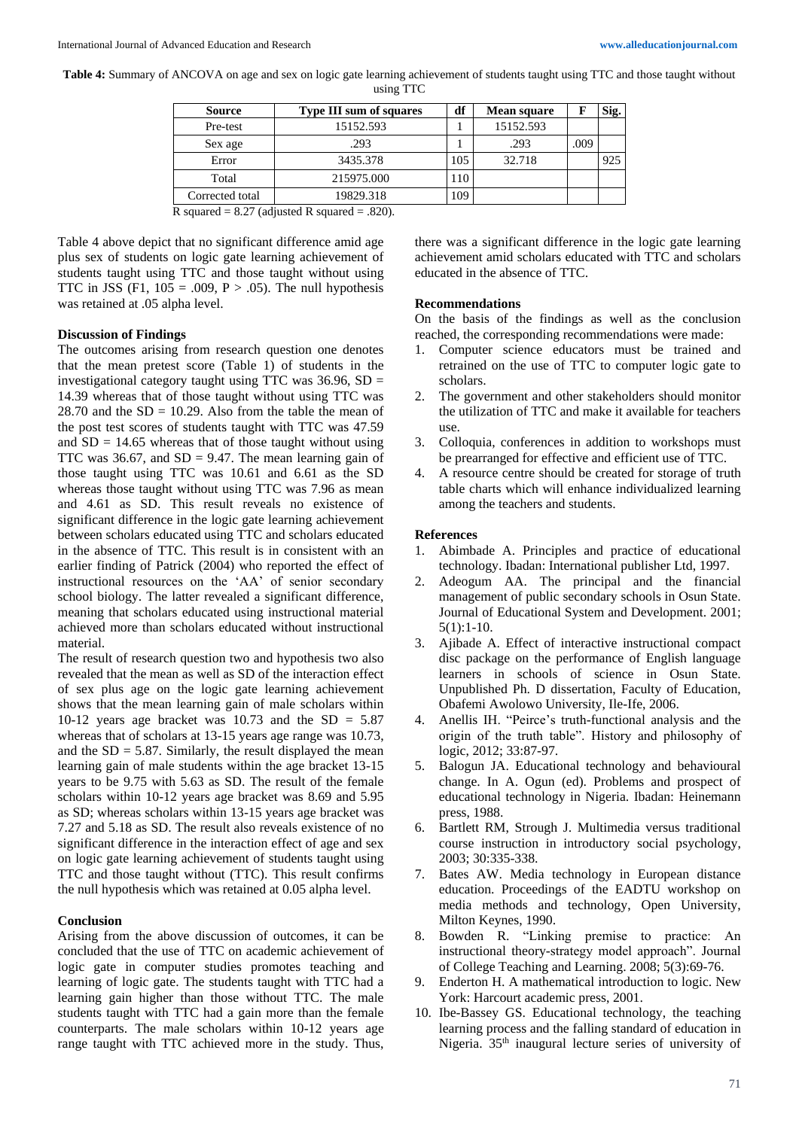**Table 4:** Summary of ANCOVA on age and sex on logic gate learning achievement of students taught using TTC and those taught without using TTC

| <b>Source</b>   | <b>Type III sum of squares</b> | df  | Mean square | F    | Sig. |
|-----------------|--------------------------------|-----|-------------|------|------|
| Pre-test        | 15152.593                      |     | 15152.593   |      |      |
| Sex age         | .293                           |     | .293        | .009 |      |
| Error           | 3435.378                       | 105 | 32.718      |      | 925  |
| Total           | 215975.000                     | 10  |             |      |      |
| Corrected total | 19829.318                      | 09  |             |      |      |

R squared =  $8.27$  (adjusted R squared =  $.820$ ).

Table 4 above depict that no significant difference amid age plus sex of students on logic gate learning achievement of students taught using TTC and those taught without using TTC in JSS (F1,  $105 = .009$ , P  $> .05$ ). The null hypothesis was retained at .05 alpha level.

#### **Discussion of Findings**

The outcomes arising from research question one denotes that the mean pretest score (Table 1) of students in the investigational category taught using TTC was  $36.96$ , SD = 14.39 whereas that of those taught without using TTC was 28.70 and the  $SD = 10.29$ . Also from the table the mean of the post test scores of students taught with TTC was 47.59 and  $SD = 14.65$  whereas that of those taught without using TTC was  $36.67$ , and  $SD = 9.47$ . The mean learning gain of those taught using TTC was 10.61 and 6.61 as the SD whereas those taught without using TTC was 7.96 as mean and 4.61 as SD. This result reveals no existence of significant difference in the logic gate learning achievement between scholars educated using TTC and scholars educated in the absence of TTC. This result is in consistent with an earlier finding of Patrick (2004) who reported the effect of instructional resources on the 'AA' of senior secondary school biology. The latter revealed a significant difference, meaning that scholars educated using instructional material achieved more than scholars educated without instructional material.

The result of research question two and hypothesis two also revealed that the mean as well as SD of the interaction effect of sex plus age on the logic gate learning achievement shows that the mean learning gain of male scholars within 10-12 years age bracket was 10.73 and the  $SD = 5.87$ whereas that of scholars at 13-15 years age range was 10.73, and the  $SD = 5.87$ . Similarly, the result displayed the mean learning gain of male students within the age bracket 13-15 years to be 9.75 with 5.63 as SD. The result of the female scholars within 10-12 years age bracket was 8.69 and 5.95 as SD; whereas scholars within 13-15 years age bracket was 7.27 and 5.18 as SD. The result also reveals existence of no significant difference in the interaction effect of age and sex on logic gate learning achievement of students taught using TTC and those taught without (TTC). This result confirms the null hypothesis which was retained at 0.05 alpha level.

#### **Conclusion**

Arising from the above discussion of outcomes, it can be concluded that the use of TTC on academic achievement of logic gate in computer studies promotes teaching and learning of logic gate. The students taught with TTC had a learning gain higher than those without TTC. The male students taught with TTC had a gain more than the female counterparts. The male scholars within 10-12 years age range taught with TTC achieved more in the study. Thus,

there was a significant difference in the logic gate learning achievement amid scholars educated with TTC and scholars educated in the absence of TTC.

#### **Recommendations**

On the basis of the findings as well as the conclusion reached, the corresponding recommendations were made:

- 1. Computer science educators must be trained and retrained on the use of TTC to computer logic gate to scholars.
- 2. The government and other stakeholders should monitor the utilization of TTC and make it available for teachers use.
- 3. Colloquia, conferences in addition to workshops must be prearranged for effective and efficient use of TTC.
- 4. A resource centre should be created for storage of truth table charts which will enhance individualized learning among the teachers and students.

#### **References**

- 1. Abimbade A. Principles and practice of educational technology. Ibadan: International publisher Ltd, 1997.
- 2. Adeogum AA. The principal and the financial management of public secondary schools in Osun State. Journal of Educational System and Development. 2001; 5(1):1-10.
- 3. Ajibade A. Effect of interactive instructional compact disc package on the performance of English language learners in schools of science in Osun State. Unpublished Ph. D dissertation, Faculty of Education, Obafemi Awolowo University, Ile-Ife, 2006.
- 4. Anellis IH. "Peirce's truth-functional analysis and the origin of the truth table". History and philosophy of logic, 2012; 33:87-97.
- 5. Balogun JA. Educational technology and behavioural change. In A. Ogun (ed). Problems and prospect of educational technology in Nigeria. Ibadan: Heinemann press, 1988.
- 6. Bartlett RM, Strough J. Multimedia versus traditional course instruction in introductory social psychology, 2003; 30:335-338.
- 7. Bates AW. Media technology in European distance education. Proceedings of the EADTU workshop on media methods and technology, Open University, Milton Keynes, 1990.
- 8. Bowden R. "Linking premise to practice: An instructional theory-strategy model approach". Journal of College Teaching and Learning. 2008; 5(3):69-76.
- 9. Enderton H. A mathematical introduction to logic. New York: Harcourt academic press, 2001.
- 10. Ibe-Bassey GS. Educational technology, the teaching learning process and the falling standard of education in Nigeria. 35th inaugural lecture series of university of